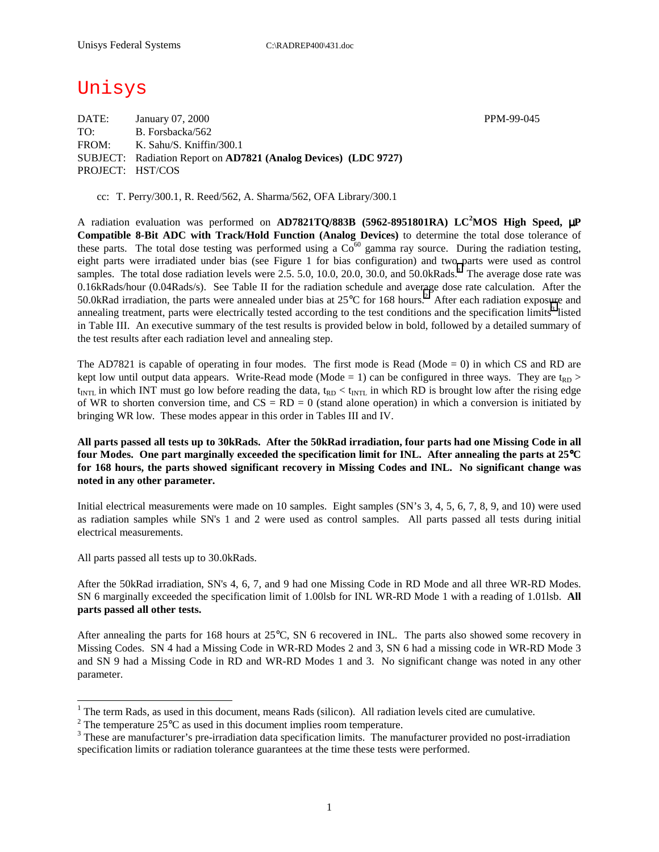# Unisys

DATE: January 07, 2000 PPM-99-045 TO: B. Forsbacka/562 FROM: K. Sahu/S. Kniffin/300.1 SUBJECT: Radiation Report on **AD7821 (Analog Devices) (LDC 9727)** PROJECT: HST/COS

cc: T. Perry/300.1, R. Reed/562, A. Sharma/562, OFA Library/300.1

A radiation evaluation was performed on **AD7821TQ/883B (5962-8951801RA) LC<sup>2</sup> MOS High Speed,** µ**P Compatible 8-Bit ADC with Track/Hold Function (Analog Devices)** to determine the total dose tolerance of these parts. The total dose testing was performed using a  $Co^{60}$  gamma ray source. During the radiation testing, eight parts were irradiated under bias (see Figure 1 for bias configuration) and two parts were used as control samples. The total dose radiation levels were  $2.5$ . 5.0, 10.0, 20.0, 30.0, and 50.0kRads.<sup>1</sup> The average dose rate was 0.16kRads/hour (0.04Rads/s). See Table II for the radiation schedule and average dose rate calculation. After the 50.0kRad irradiation, the parts were annealed under bias at  $25^{\circ}$ C for 168 hours.<sup>2</sup> After each radiation exposure and annealing treatment, parts were electrically tested according to the test conditions and the specification limits<sup>3</sup> listed in Table III. An executive summary of the test results is provided below in bold, followed by a detailed summary of the test results after each radiation level and annealing step.

The AD7821 is capable of operating in four modes. The first mode is Read (Mode  $= 0$ ) in which CS and RD are kept low until output data appears. Write-Read mode (Mode = 1) can be configured in three ways. They are  $t_{RD}$  >  $t_{\text{INTL}}$  in which INT must go low before reading the data,  $t_{\text{RD}} < t_{\text{INTL}}$  in which RD is brought low after the rising edge of WR to shorten conversion time, and  $CS = RD = 0$  (stand alone operation) in which a conversion is initiated by bringing WR low. These modes appear in this order in Tables III and IV.

**All parts passed all tests up to 30kRads. After the 50kRad irradiation, four parts had one Missing Code in all four Modes. One part marginally exceeded the specification limit for INL. After annealing the parts at 25**°**C for 168 hours, the parts showed significant recovery in Missing Codes and INL. No significant change was noted in any other parameter.** 

Initial electrical measurements were made on 10 samples. Eight samples (SN's 3, 4, 5, 6, 7, 8, 9, and 10) were used as radiation samples while SN's 1 and 2 were used as control samples. All parts passed all tests during initial electrical measurements.

All parts passed all tests up to 30.0kRads.

 $\overline{a}$ 

After the 50kRad irradiation, SN's 4, 6, 7, and 9 had one Missing Code in RD Mode and all three WR-RD Modes. SN 6 marginally exceeded the specification limit of 1.00lsb for INL WR-RD Mode 1 with a reading of 1.01lsb. **All parts passed all other tests.**

After annealing the parts for 168 hours at 25°C, SN 6 recovered in INL. The parts also showed some recovery in Missing Codes. SN 4 had a Missing Code in WR-RD Modes 2 and 3, SN 6 had a missing code in WR-RD Mode 3 and SN 9 had a Missing Code in RD and WR-RD Modes 1 and 3. No significant change was noted in any other parameter.

<sup>&</sup>lt;sup>1</sup> The term Rads, as used in this document, means Rads (silicon). All radiation levels cited are cumulative.

<sup>&</sup>lt;sup>2</sup> The temperature 25 $^{\circ}$ C as used in this document implies room temperature.  $^3$  These are manufacturer's are irrediction date apositionism limits. The manufacturer's

<sup>&</sup>lt;sup>3</sup> These are manufacturer's pre-irradiation data specification limits. The manufacturer provided no post-irradiation specification limits or radiation tolerance guarantees at the time these tests were performed.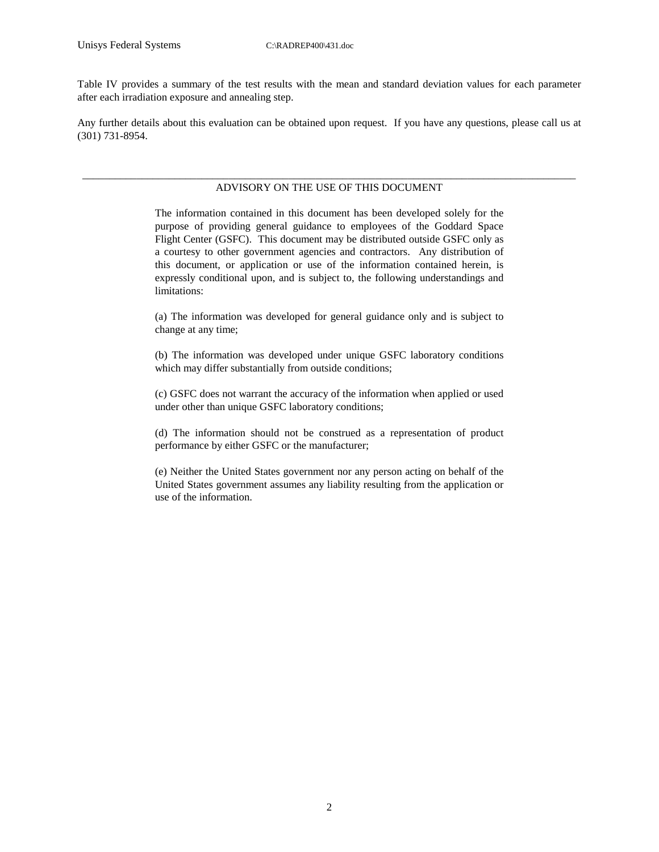Table IV provides a summary of the test results with the mean and standard deviation values for each parameter after each irradiation exposure and annealing step.

Any further details about this evaluation can be obtained upon request. If you have any questions, please call us at (301) 731-8954.

#### \_\_\_\_\_\_\_\_\_\_\_\_\_\_\_\_\_\_\_\_\_\_\_\_\_\_\_\_\_\_\_\_\_\_\_\_\_\_\_\_\_\_\_\_\_\_\_\_\_\_\_\_\_\_\_\_\_\_\_\_\_\_\_\_\_\_\_\_\_\_\_\_\_\_\_\_\_\_\_\_\_\_\_\_\_\_\_\_\_\_\_ ADVISORY ON THE USE OF THIS DOCUMENT

The information contained in this document has been developed solely for the purpose of providing general guidance to employees of the Goddard Space Flight Center (GSFC). This document may be distributed outside GSFC only as a courtesy to other government agencies and contractors. Any distribution of this document, or application or use of the information contained herein, is expressly conditional upon, and is subject to, the following understandings and limitations:

(a) The information was developed for general guidance only and is subject to change at any time;

(b) The information was developed under unique GSFC laboratory conditions which may differ substantially from outside conditions;

(c) GSFC does not warrant the accuracy of the information when applied or used under other than unique GSFC laboratory conditions;

(d) The information should not be construed as a representation of product performance by either GSFC or the manufacturer;

(e) Neither the United States government nor any person acting on behalf of the United States government assumes any liability resulting from the application or use of the information.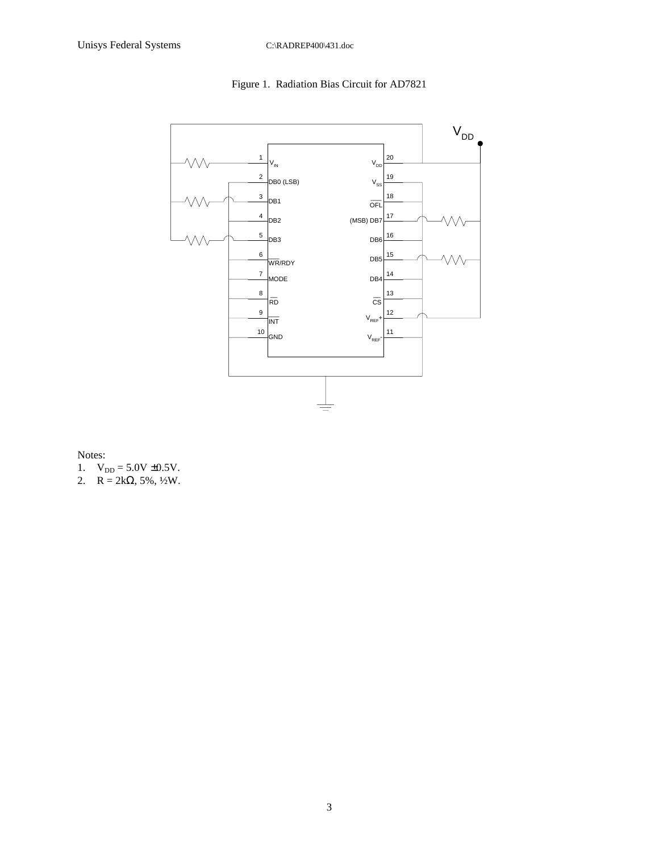## Figure 1. Radiation Bias Circuit for AD7821



Notes:

- 1.  $V_{DD} = 5.0V \pm 0.5V$ .
- 2.  $R = 2k\Omega, 5\%, \frac{1}{2}W$ .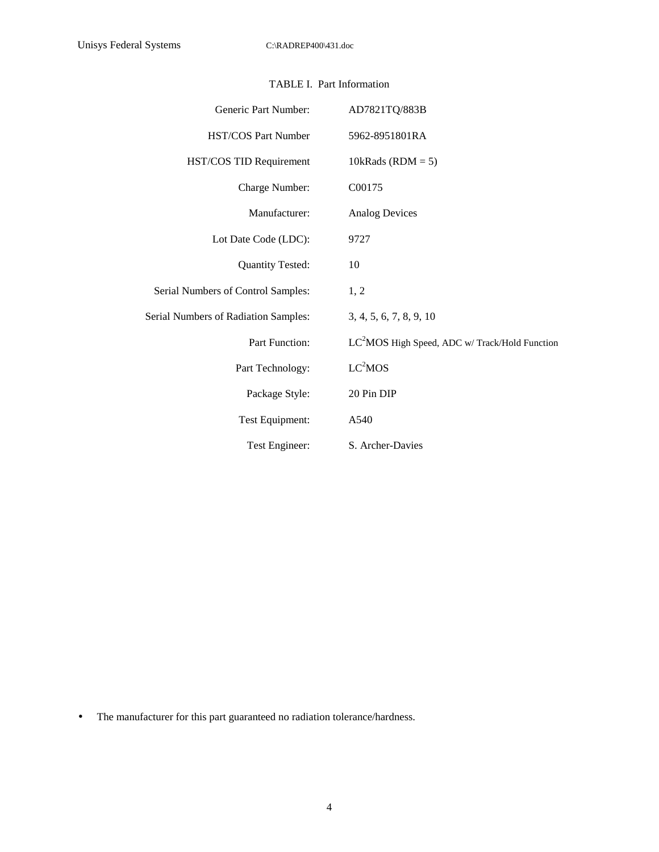| Generic Part Number:                 | AD7821TQ/883B                                  |
|--------------------------------------|------------------------------------------------|
| <b>HST/COS Part Number</b>           | 5962-8951801RA                                 |
| HST/COS TID Requirement              | 10kRads (RDM = $5$ )                           |
| Charge Number:                       | C00175                                         |
| Manufacturer:                        | <b>Analog Devices</b>                          |
| Lot Date Code (LDC):                 | 9727                                           |
| <b>Quantity Tested:</b>              | 10                                             |
| Serial Numbers of Control Samples:   | 1, 2                                           |
| Serial Numbers of Radiation Samples: | 3, 4, 5, 6, 7, 8, 9, 10                        |
| <b>Part Function:</b>                | $LC2MOS$ High Speed, ADC w/Track/Hold Function |
| Part Technology:                     | LC <sup>2</sup> MOS                            |
| Package Style:                       | 20 Pin DIP                                     |
| Test Equipment:                      | A540                                           |
| Test Engineer:                       | S. Archer-Davies                               |

## TABLE I. Part Information

• The manufacturer for this part guaranteed no radiation tolerance/hardness.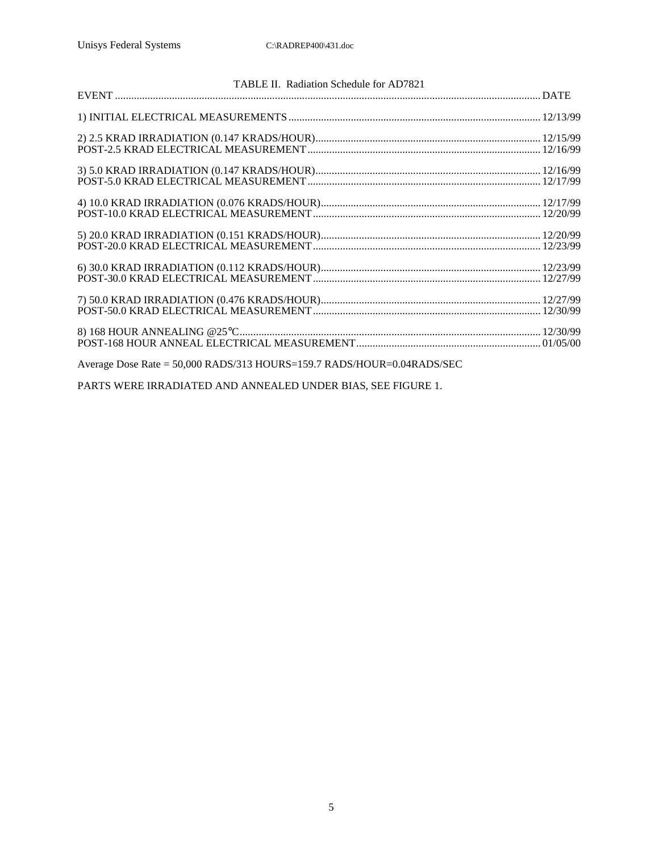| TABLE II. Radiation Schedule for AD7821                                |  |
|------------------------------------------------------------------------|--|
|                                                                        |  |
|                                                                        |  |
|                                                                        |  |
|                                                                        |  |
|                                                                        |  |
|                                                                        |  |
|                                                                        |  |
|                                                                        |  |
|                                                                        |  |
|                                                                        |  |
|                                                                        |  |
|                                                                        |  |
|                                                                        |  |
|                                                                        |  |
|                                                                        |  |
|                                                                        |  |
| Average Dose Rate = 50,000 RADS/313 HOURS=159.7 RADS/HOUR=0.04RADS/SEC |  |

PARTS WERE IRRADIATED AND ANNEALED UNDER BIAS, SEE FIGURE 1.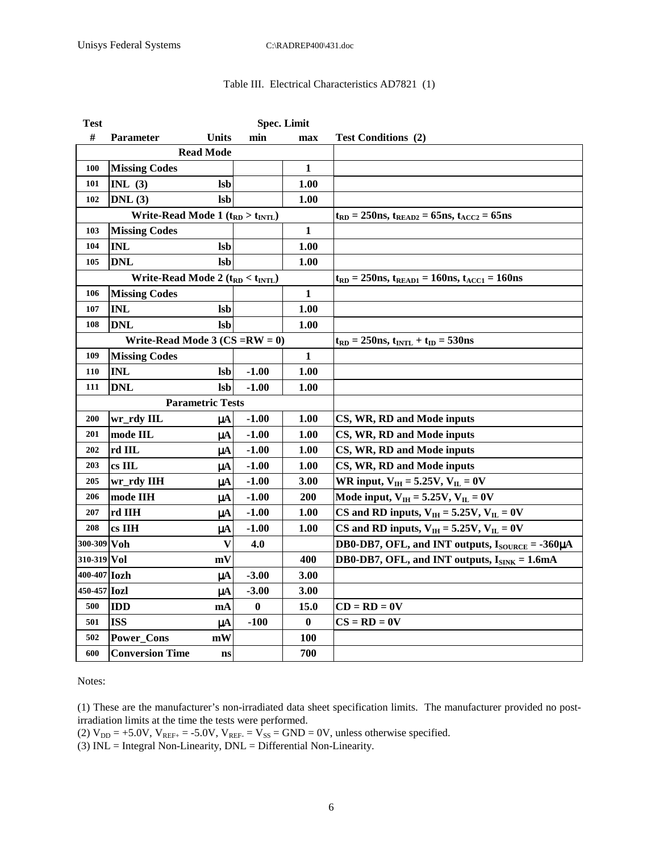#### Table III. Electrical Characteristics AD7821 (1)

| <b>Test</b>                         |                                           |                  |          | <b>Spec. Limit</b>                                           |                                                                      |
|-------------------------------------|-------------------------------------------|------------------|----------|--------------------------------------------------------------|----------------------------------------------------------------------|
| #                                   | <b>Parameter</b>                          | <b>Units</b>     | min      | max                                                          | <b>Test Conditions (2)</b>                                           |
|                                     |                                           | <b>Read Mode</b> |          |                                                              |                                                                      |
| 100                                 | <b>Missing Codes</b>                      |                  |          | 1                                                            |                                                                      |
| 101                                 | INL $(3)$                                 | <b>lsb</b>       |          | 1.00                                                         |                                                                      |
| 102                                 | DNL(3)                                    | <b>lsb</b>       |          | 1.00                                                         |                                                                      |
|                                     | Write-Read Mode 1 $(t_{RD} > t_{INTL})$   |                  |          |                                                              | $t_{RD} = 250$ ns, $t_{READ2} = 65$ ns, $t_{ACC2} = 65$ ns           |
| 103                                 | <b>Missing Codes</b>                      |                  |          | 1                                                            |                                                                      |
| 104                                 | <b>INL</b>                                | <b>lsb</b>       |          | 1.00                                                         |                                                                      |
| 105                                 | <b>DNL</b>                                | <b>lsb</b>       |          | 1.00                                                         |                                                                      |
|                                     | Write-Read Mode 2 ( $t_{RD} < t_{INTL}$ ) |                  |          | $t_{RD} = 250$ ns, $t_{READ1} = 160$ ns, $t_{ACC1} = 160$ ns |                                                                      |
| 106                                 | <b>Missing Codes</b>                      |                  |          | $\mathbf{1}$                                                 |                                                                      |
| 107                                 | <b>INL</b>                                | <b>lsb</b>       |          | 1.00                                                         |                                                                      |
| 108                                 | <b>DNL</b>                                | <b>lsb</b>       |          | 1.00                                                         |                                                                      |
| Write-Read Mode 3 ( $CS = RW = 0$ ) |                                           |                  |          |                                                              | $t_{RD} = 250$ ns, $t_{INTL} + t_{ID} = 530$ ns                      |
| 109                                 | <b>Missing Codes</b>                      |                  |          | $\mathbf{1}$                                                 |                                                                      |
| 110                                 | <b>INL</b>                                | <b>lsb</b>       | $-1.00$  | 1.00                                                         |                                                                      |
| 111                                 | <b>DNL</b>                                | <b>lsb</b>       | $-1.00$  | 1.00                                                         |                                                                      |
| <b>Parametric Tests</b>             |                                           |                  |          |                                                              |                                                                      |
| 200                                 | wr_rdy IIL                                | uA               | $-1.00$  | <b>1.00</b>                                                  | CS, WR, RD and Mode inputs                                           |
| 201                                 | mode IIL                                  | $\mu A$          | $-1.00$  | 1.00                                                         | CS, WR, RD and Mode inputs                                           |
| 202                                 | rd IIL                                    | $\mu$ A          | $-1.00$  | 1.00                                                         | CS, WR, RD and Mode inputs                                           |
| 203                                 | $cs$ IIL                                  | uA               | $-1.00$  | 1.00                                                         | CS, WR, RD and Mode inputs                                           |
| 205                                 | wr_rdy IIH                                | μA               | $-1.00$  | 3.00                                                         | WR input, $V_{IH} = 5.25V$ , $V_{IL} = 0V$                           |
| 206                                 | mode IIH                                  | μA               | $-1.00$  | 200                                                          | Mode input, $V_{IH} = 5.25V, V_{IL} = 0V$                            |
| 207                                 | rd IIH                                    | μA               | $-1.00$  | 1.00                                                         | CS and RD inputs, $V_{IH} = 5.25V$ , $V_{IL} = 0V$                   |
| 208                                 | cs IIH                                    | $\mu A$          | $-1.00$  | 1.00                                                         | CS and RD inputs, $V_{IH} = 5.25V$ , $V_{IL} = 0V$                   |
| 300-309 Voh                         |                                           | V                | 4.0      |                                                              | DB0-DB7, OFL, and INT outputs, $I_{\text{SOLRCE}} = -360\mu\text{A}$ |
| 310-319 Vol                         |                                           | mV               |          | 400                                                          | DB0-DB7, OFL, and INT outputs, $I_{\text{SINK}} = 1.6 \text{mA}$     |
| 400-407 <b>Iozh</b>                 |                                           | uA               | $-3.00$  | 3.00                                                         |                                                                      |
| 450-457 <b>Iozl</b>                 |                                           | $\mu A$          | $-3.00$  | 3.00                                                         |                                                                      |
| 500                                 | <b>IDD</b>                                | mA               | $\bf{0}$ | 15.0                                                         | $CD = RD = 0V$                                                       |
| 501                                 | <b>ISS</b>                                | $\mu A$          | $-100$   | $\boldsymbol{0}$                                             | $CS = RD = 0V$                                                       |
| 502                                 | <b>Power_Cons</b>                         | mW               |          | <b>100</b>                                                   |                                                                      |
| 600                                 | <b>Conversion Time</b>                    | ns               |          | 700                                                          |                                                                      |

Notes:

(1) These are the manufacturer's non-irradiated data sheet specification limits. The manufacturer provided no postirradiation limits at the time the tests were performed.

(2)  $V_{DD} = +5.0V$ ,  $V_{REF+} = -5.0V$ ,  $V_{REF-} = V_{SS} = GND = 0V$ , unless otherwise specified.

(3)  $INL = Integral Non-Linearity,  $DNL = Differential Non-Linearity$ .$